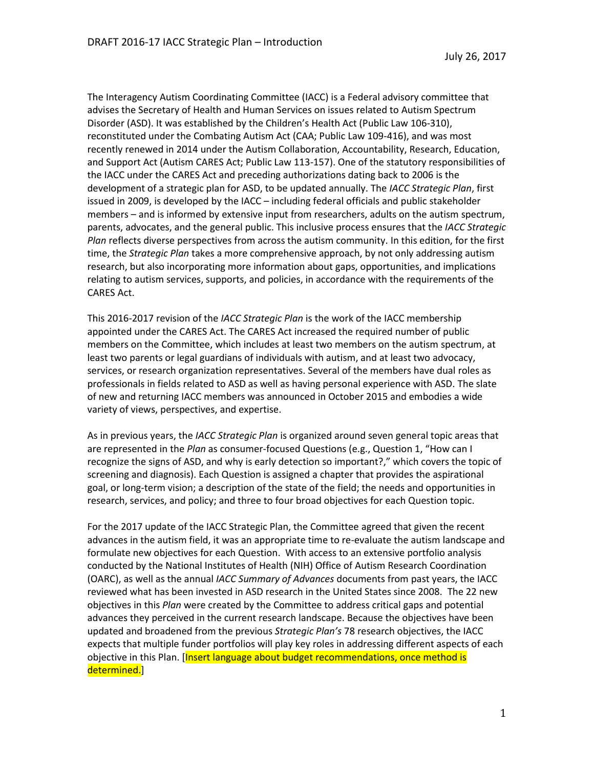The Interagency Autism Coordinating Committee (IACC) is a Federal advisory committee that advises the Secretary of Health and Human Services on issues related to Autism Spectrum Disorder (ASD). It was established by the Children's Health Act (Public Law 106-310), reconstituted under the Combating Autism Act (CAA; Public Law 109-416), and was most recently renewed in 2014 under the Autism Collaboration, Accountability, Research, Education, and Support Act (Autism CARES Act; Public Law 113-157). One of the statutory responsibilities of the IACC under the CARES Act and preceding authorizations dating back to 2006 is the development of a strategic plan for ASD, to be updated annually. The *IACC Strategic Plan*, first issued in 2009, is developed by the IACC – including federal officials and public stakeholder members – and is informed by extensive input from researchers, adults on the autism spectrum, parents, advocates, and the general public. This inclusive process ensures that the *IACC Strategic Plan* reflects diverse perspectives from across the autism community. In this edition, for the first time, the *Strategic Plan* takes a more comprehensive approach, by not only addressing autism research, but also incorporating more information about gaps, opportunities, and implications relating to autism services, supports, and policies, in accordance with the requirements of the CARES Act.

This 2016-2017 revision of the *IACC Strategic Plan* is the work of the IACC membership appointed under the CARES Act. The CARES Act increased the required number of public members on the Committee, which includes at least two members on the autism spectrum, at least two parents or legal guardians of individuals with autism, and at least two advocacy, services, or research organization representatives. Several of the members have dual roles as professionals in fields related to ASD as well as having personal experience with ASD. The slate of new and returning IACC members was announced in October 2015 and embodies a wide variety of views, perspectives, and expertise.

As in previous years, the *IACC Strategic Plan* is organized around seven general topic areas that are represented in the *Plan* as consumer-focused Questions (e.g., Question 1, "How can I recognize the signs of ASD, and why is early detection so important?," which covers the topic of screening and diagnosis). Each Question is assigned a chapter that provides the aspirational goal, or long-term vision; a description of the state of the field; the needs and opportunities in research, services, and policy; and three to four broad objectives for each Question topic.

For the 2017 update of the IACC Strategic Plan, the Committee agreed that given the recent advances in the autism field, it was an appropriate time to re-evaluate the autism landscape and formulate new objectives for each Question. With access to an extensive portfolio analysis conducted by the National Institutes of Health (NIH) Office of Autism Research Coordination (OARC), as well as the annual *IACC Summary of Advances* documents from past years, the IACC reviewed what has been invested in ASD research in the United States since 2008. The 22 new objectives in this *Plan* were created by the Committee to address critical gaps and potential advances they perceived in the current research landscape. Because the objectives have been updated and broadened from the previous *Strategic Plan's* 78 research objectives, the IACC expects that multiple funder portfolios will play key roles in addressing different aspects of each objective in this Plan. [Insert language about budget recommendations, once method is determined.]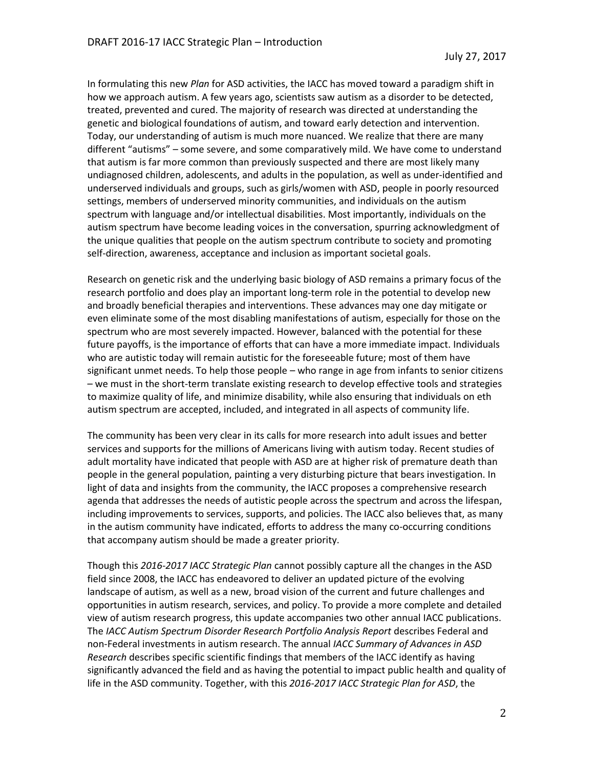In formulating this new *Plan* for ASD activities, the IACC has moved toward a paradigm shift in how we approach autism. A few years ago, scientists saw autism as a disorder to be detected, treated, prevented and cured. The majority of research was directed at understanding the genetic and biological foundations of autism, and toward early detection and intervention. Today, our understanding of autism is much more nuanced. We realize that there are many different "autisms" – some severe, and some comparatively mild. We have come to understand that autism is far more common than previously suspected and there are most likely many undiagnosed children, adolescents, and adults in the population, as well as under-identified and underserved individuals and groups, such as girls/women with ASD, people in poorly resourced settings, members of underserved minority communities, and individuals on the autism spectrum with language and/or intellectual disabilities. Most importantly, individuals on the autism spectrum have become leading voices in the conversation, spurring acknowledgment of the unique qualities that people on the autism spectrum contribute to society and promoting self-direction, awareness, acceptance and inclusion as important societal goals.

Research on genetic risk and the underlying basic biology of ASD remains a primary focus of the research portfolio and does play an important long-term role in the potential to develop new and broadly beneficial therapies and interventions. These advances may one day mitigate or even eliminate some of the most disabling manifestations of autism, especially for those on the spectrum who are most severely impacted. However, balanced with the potential for these future payoffs, is the importance of efforts that can have a more immediate impact. Individuals who are autistic today will remain autistic for the foreseeable future; most of them have significant unmet needs. To help those people – who range in age from infants to senior citizens – we must in the short-term translate existing research to develop effective tools and strategies to maximize quality of life, and minimize disability, while also ensuring that individuals on eth autism spectrum are accepted, included, and integrated in all aspects of community life.

The community has been very clear in its calls for more research into adult issues and better services and supports for the millions of Americans living with autism today. Recent studies of adult mortality have indicated that people with ASD are at higher risk of premature death than people in the general population, painting a very disturbing picture that bears investigation. In light of data and insights from the community, the IACC proposes a comprehensive research agenda that addresses the needs of autistic people across the spectrum and across the lifespan, including improvements to services, supports, and policies. The IACC also believes that, as many in the autism community have indicated, efforts to address the many co-occurring conditions that accompany autism should be made a greater priority.

Though this *2016-2017 IACC Strategic Plan* cannot possibly capture all the changes in the ASD field since 2008, the IACC has endeavored to deliver an updated picture of the evolving landscape of autism, as well as a new, broad vision of the current and future challenges and opportunities in autism research, services, and policy. To provide a more complete and detailed view of autism research progress, this update accompanies two other annual IACC publications. The *IACC Autism Spectrum Disorder Research Portfolio Analysis Report* describes Federal and non-Federal investments in autism research. The annual *IACC Summary of Advances in ASD Research* describes specific scientific findings that members of the IACC identify as having significantly advanced the field and as having the potential to impact public health and quality of life in the ASD community. Together, with this *2016-2017 IACC Strategic Plan for ASD*, the